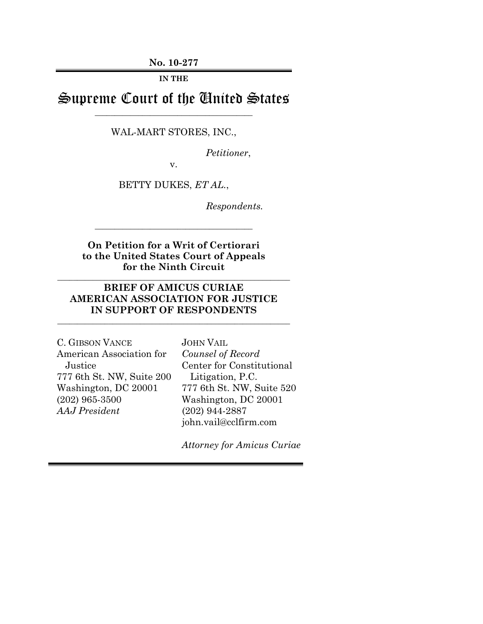**No. 10-277**

**IN THE**

Supreme Court of the United States \_\_\_\_\_\_\_\_\_\_\_\_\_\_\_\_\_\_\_\_\_\_\_\_\_\_\_\_\_\_\_\_\_\_\_\_\_\_\_\_

WAL-MART STORES, INC.,

*Petitioner*,

v.

BETTY DUKES, *ET AL.*,

*Respondents.* 

**On Petition for a Writ of Certiorari to the United States Court of Appeals for the Ninth Circuit**

\_\_\_\_\_\_\_\_\_\_\_\_\_\_\_\_\_\_\_\_\_\_\_\_\_\_\_\_\_\_\_\_\_\_\_\_\_\_\_\_\_\_\_\_\_\_\_\_\_\_\_\_\_\_\_\_\_\_\_

\_\_\_\_\_\_\_\_\_\_\_\_\_\_\_\_\_\_\_\_\_\_\_\_\_\_\_\_\_\_\_\_\_\_\_\_\_\_\_\_

## **BRIEF OF AMICUS CURIAE AMERICAN ASSOCIATION FOR JUSTICE IN SUPPORT OF RESPONDENTS**

\_\_\_\_\_\_\_\_\_\_\_\_\_\_\_\_\_\_\_\_\_\_\_\_\_\_\_\_\_\_\_\_\_\_\_\_\_\_\_\_\_\_\_\_\_\_\_\_\_\_\_\_\_\_\_\_\_\_\_

| C. GIBSON VANCE           | <b>JOHN VAIL</b>          |
|---------------------------|---------------------------|
| American Association for  | Counsel of Record         |
| Justice                   | Center for Constitutional |
| 777 6th St. NW, Suite 200 | Litigation, P.C.          |
| Washington, DC 20001      | 777 6th St. NW, Suite 520 |
| $(202)$ 965-3500          | Washington, DC 20001      |
| AAJ President             | $(202)$ 944-2887          |
|                           | john.vail@cclfirm.com     |

*Attorney for Amicus Curiae*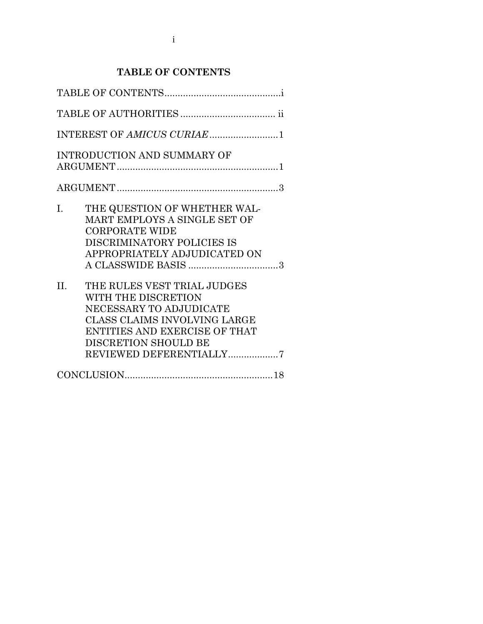# **TABLE OF CONTENTS**

<span id="page-2-0"></span>

| <b>INTRODUCTION AND SUMMARY OF</b>                                                                                                                                                                                  |
|---------------------------------------------------------------------------------------------------------------------------------------------------------------------------------------------------------------------|
|                                                                                                                                                                                                                     |
| THE QUESTION OF WHETHER WAL-<br>$\mathbf{I}$ .<br>MART EMPLOYS A SINGLE SET OF<br><b>CORPORATE WIDE</b><br>DISCRIMINATORY POLICIES IS<br>APPROPRIATELY ADJUDICATED ON                                               |
| $\Pi$ .<br>THE RULES VEST TRIAL JUDGES<br>WITH THE DISCRETION<br>NECESSARY TO ADJUDICATE<br><b>CLASS CLAIMS INVOLVING LARGE</b><br>ENTITIES AND EXERCISE OF THAT<br>DISCRETION SHOULD BE<br>REVIEWED DEFERENTIALLY7 |
|                                                                                                                                                                                                                     |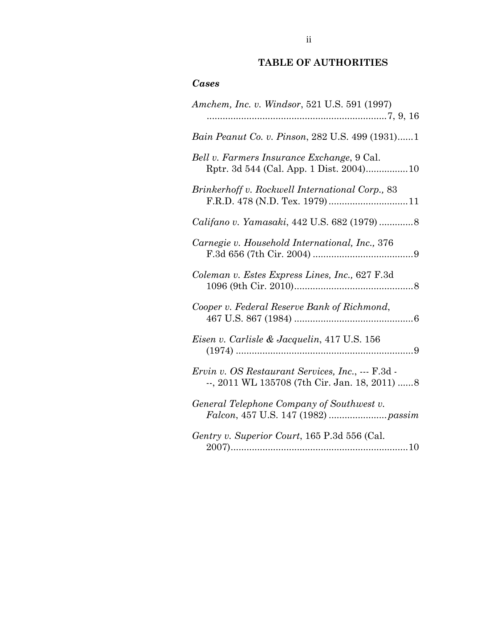# **TABLE OF AUTHORITIES**

## <span id="page-3-0"></span>*Cases*

| Amchem, Inc. v. Windsor, 521 U.S. 591 (1997)                                                       |
|----------------------------------------------------------------------------------------------------|
| Bain Peanut Co. v. Pinson, 282 U.S. 499 (1931)1                                                    |
| Bell v. Farmers Insurance Exchange, 9 Cal.                                                         |
| Brinkerhoff v. Rockwell International Corp., 83                                                    |
|                                                                                                    |
| Carnegie v. Household International, Inc., 376                                                     |
| Coleman v. Estes Express Lines, Inc., 627 F.3d                                                     |
| Cooper v. Federal Reserve Bank of Richmond,<br>467 U.S. 867 (1984)                                 |
| Eisen v. Carlisle & Jacquelin, 417 U.S. 156                                                        |
| Ervin v. OS Restaurant Services, Inc., --- F.3d -<br>--, 2011 WL 135708 (7th Cir. Jan. 18, 2011) 8 |
| General Telephone Company of Southwest v.                                                          |
| Gentry v. Superior Court, 165 P.3d 556 (Cal.                                                       |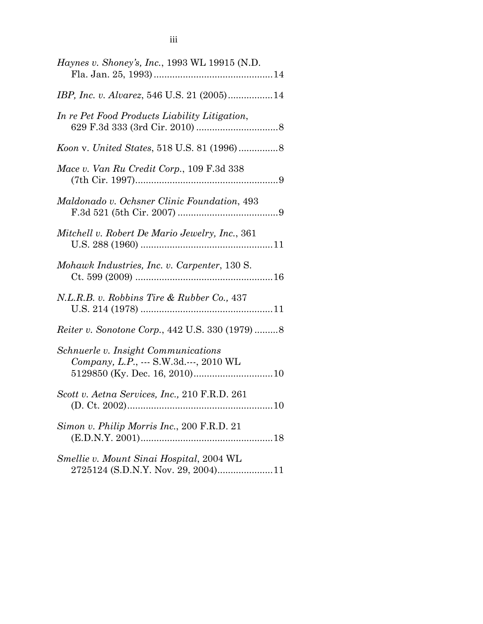| <i>Haynes v. Shoney's, Inc., 1993 WL 19915 (N.D.</i>                           |
|--------------------------------------------------------------------------------|
|                                                                                |
| In re Pet Food Products Liability Litigation,                                  |
|                                                                                |
| Mace v. Van Ru Credit Corp., 109 F.3d 338                                      |
| Maldonado v. Ochsner Clinic Foundation, 493                                    |
| Mitchell v. Robert De Mario Jewelry, Inc., 361                                 |
| Mohawk Industries, Inc. v. Carpenter, 130 S.                                   |
| N.L.R.B. v. Robbins Tire & Rubber Co., 437                                     |
| <i>Reiter v. Sonotone Corp., 442 U.S. 330 (1979) </i> 8                        |
| Schnuerle v. Insight Communications<br>Company, L.P., --- S.W.3d.---, 2010 WL  |
| Scott v. Aetna Services, Inc., 210 F.R.D. 261                                  |
| Simon v. Philip Morris Inc., 200 F.R.D. 21                                     |
| Smellie v. Mount Sinai Hospital, 2004 WL<br>2725124 (S.D.N.Y. Nov. 29, 2004)11 |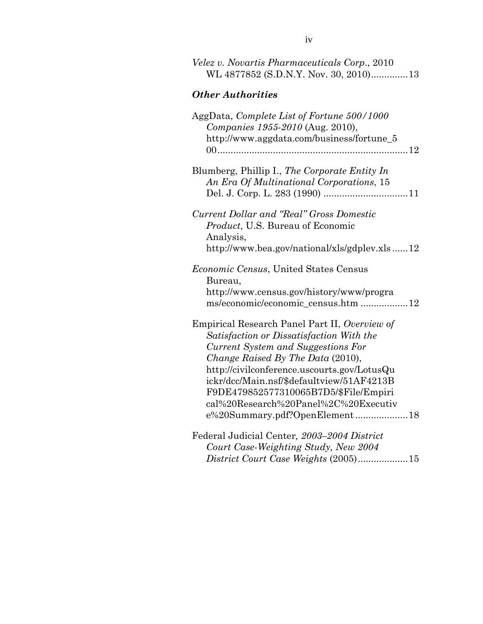| Velez v. Novartis Pharmaceuticals Corp., 2010<br>WL 4877852 (S.D.N.Y. Nov. 30, 2010)13                                                                                                                                                                                                                                                                                             |  |  |
|------------------------------------------------------------------------------------------------------------------------------------------------------------------------------------------------------------------------------------------------------------------------------------------------------------------------------------------------------------------------------------|--|--|
| <b>Other Authorities</b>                                                                                                                                                                                                                                                                                                                                                           |  |  |
| AggData, Complete List of Fortune 500/1000<br>Companies 1955-2010 (Aug. 2010),<br>http://www.aggdata.com/business/fortune_5                                                                                                                                                                                                                                                        |  |  |
| Blumberg, Phillip I., The Corporate Entity In<br>An Era Of Multinational Corporations, 15                                                                                                                                                                                                                                                                                          |  |  |
| Current Dollar and "Real" Gross Domestic<br>Product, U.S. Bureau of Economic<br>Analysis,<br>http://www.bea.gov/national/xls/gdplev.xls12                                                                                                                                                                                                                                          |  |  |
| Economic Census, United States Census<br>Bureau,<br>http://www.census.gov/history/www/progra<br>ms/economic/economic_census.htm 12                                                                                                                                                                                                                                                 |  |  |
| Empirical Research Panel Part II, Overview of<br>Satisfaction or Dissatisfaction With the<br>Current System and Suggestions For<br>Change Raised By The Data (2010),<br>http://civilconference.uscourts.gov/LotusQu<br>ickr/dcc/Main.nsf/\$defaultview/51AF4213B<br>F9DE479852577310065B7D5/\$File/Empiri<br>cal%20Research%20Panel%2C%20Executiv<br>e%20Summary.pdf?OpenElement18 |  |  |
| Federal Judicial Center, 2003-2004 District<br>Court Case-Weighting Study, New 2004<br>District Court Case Weights (2005)15                                                                                                                                                                                                                                                        |  |  |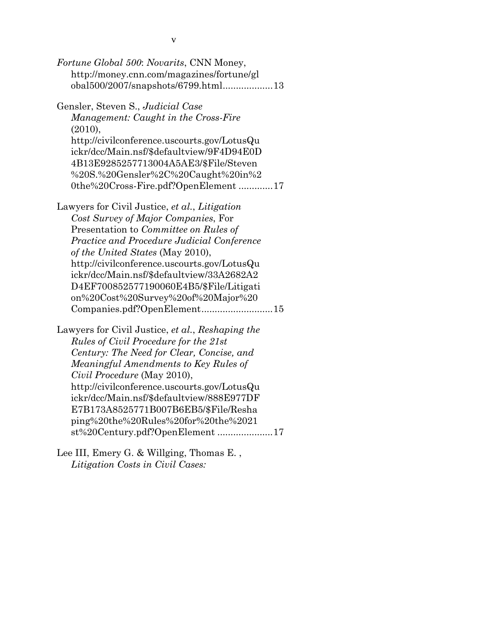| Fortune Global 500: Novarits, CNN Money,<br>http://money.cnn.com/magazines/fortune/gl<br>obal500/2007/snapshots/6799.html13                                                                                                                                                                                                                                                                                                        |
|------------------------------------------------------------------------------------------------------------------------------------------------------------------------------------------------------------------------------------------------------------------------------------------------------------------------------------------------------------------------------------------------------------------------------------|
| Gensler, Steven S., Judicial Case<br>Management: Caught in the Cross-Fire<br>(2010),<br>http://civilconference.uscourts.gov/LotusQu<br>ickr/dcc/Main.nsf/\$defaultview/9F4D94E0D<br>4B13E9285257713004A5AE3/\$File/Steven<br>%20S.%20Gensler%2C%20Caught%20in%2<br>0the%20Cross-Fire.pdf?OpenElement17                                                                                                                             |
| Lawyers for Civil Justice, et al., Litigation<br>Cost Survey of Major Companies, For<br>Presentation to <i>Committee on Rules of</i><br>Practice and Procedure Judicial Conference<br>of the United States (May 2010),<br>http://civilconference.uscourts.gov/LotusQu<br>ickr/dcc/Main.nsf/\$defaultview/33A2682A2<br>D4EF700852577190060E4B5/\$File/Litigati<br>on%20Cost%20Survey%20of%20Major%20<br>Companies.pdf?OpenElement15 |
| Lawyers for Civil Justice, et al., Reshaping the<br>Rules of Civil Procedure for the 21st<br>Century: The Need for Clear, Concise, and<br>Meaningful Amendments to Key Rules of<br>Civil Procedure (May 2010),<br>http://civilconference.uscourts.gov/LotusQu<br>ickr/dcc/Main.nsf/\$defaultview/888E977DF<br>E7B173A8525771B007B6EB5/\$File/Resha<br>ping%20the%20Rules%20for%20the%2021<br>st%20Century.pdf?OpenElement17        |
| Lee III, Emery G. & Willging, Thomas E.,                                                                                                                                                                                                                                                                                                                                                                                           |

*Litigation Costs in Civil Cases:*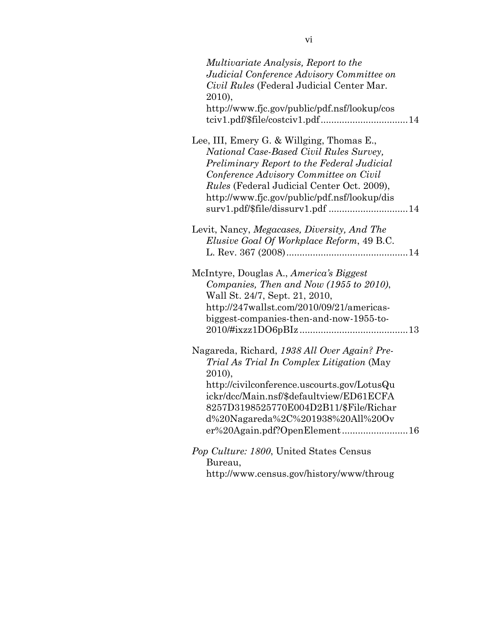| Multivariate Analysis, Report to the              |
|---------------------------------------------------|
| Judicial Conference Advisory Committee on         |
| Civil Rules (Federal Judicial Center Mar.         |
| 2010),                                            |
| http://www.fjc.gov/public/pdf.nsf/lookup/cos      |
|                                                   |
| tciv1.pdf/\$file/costciv1.pdf14                   |
| Lee, III, Emery G. & Willging, Thomas E.,         |
|                                                   |
| National Case-Based Civil Rules Survey,           |
| Preliminary Report to the Federal Judicial        |
| Conference Advisory Committee on Civil            |
| <i>Rules</i> (Federal Judicial Center Oct. 2009), |
| http://www.fjc.gov/public/pdf.nsf/lookup/dis      |
| surv1.pdf/\$file/dissurv1.pdf 14                  |
|                                                   |
| Levit, Nancy, Megacases, Diversity, And The       |
| Elusive Goal Of Workplace Reform, 49 B.C.         |
|                                                   |
|                                                   |
| McIntyre, Douglas A., America's Biggest           |
| Companies, Then and Now (1955 to 2010),           |
| Wall St. 24/7, Sept. 21, 2010,                    |
| http://247wallst.com/2010/09/21/americas-         |
| biggest-companies-then-and-now-1955-to-           |
|                                                   |
|                                                   |
| Nagareda, Richard, 1938 All Over Again? Pre-      |
| Trial As Trial In Complex Litigation (May         |
| 2010),                                            |
|                                                   |
| http://civilconference.uscourts.gov/LotusQu       |
| ickr/dcc/Main.nsf/\$defaultview/ED61ECFA          |
| 8257D3198525770E004D2B11/\$File/Richar            |
| d%20Nagareda%2C%201938%20All%20Ov                 |
| er%20Again.pdf?OpenElement16                      |
|                                                   |
| Pop Culture: 1800, United States Census           |
| Bureau,                                           |
| http://www.census.gov/history/www/throug          |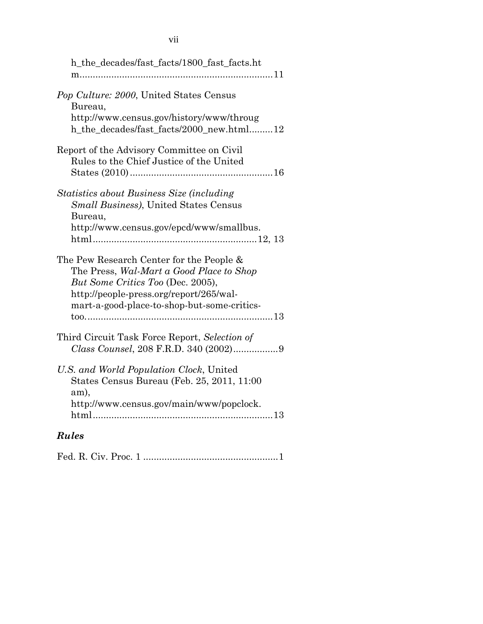| h_the_decades/fast_facts/1800_fast_facts.ht                                                                                                                                                                         |
|---------------------------------------------------------------------------------------------------------------------------------------------------------------------------------------------------------------------|
| Pop Culture: 2000, United States Census<br>Bureau,<br>http://www.census.gov/history/www/throug<br>h_the_decades/fast_facts/2000_new.html12                                                                          |
| Report of the Advisory Committee on Civil<br>Rules to the Chief Justice of the United                                                                                                                               |
| Statistics about Business Size (including<br>Small Business), United States Census<br>Bureau,<br>http://www.census.gov/epcd/www/smallbus.                                                                           |
| The Pew Research Center for the People &<br>The Press, Wal-Mart a Good Place to Shop<br>But Some Critics Too (Dec. 2005),<br>http://people-press.org/report/265/wal-<br>mart-a-good-place-to-shop-but-some-critics- |
| Third Circuit Task Force Report, Selection of                                                                                                                                                                       |
| U.S. and World Population Clock, United<br>States Census Bureau (Feb. 25, 2011, 11:00<br>am),<br>http://www.census.gov/main/www/popclock.                                                                           |
| <b>Rules</b>                                                                                                                                                                                                        |

|--|--|--|--|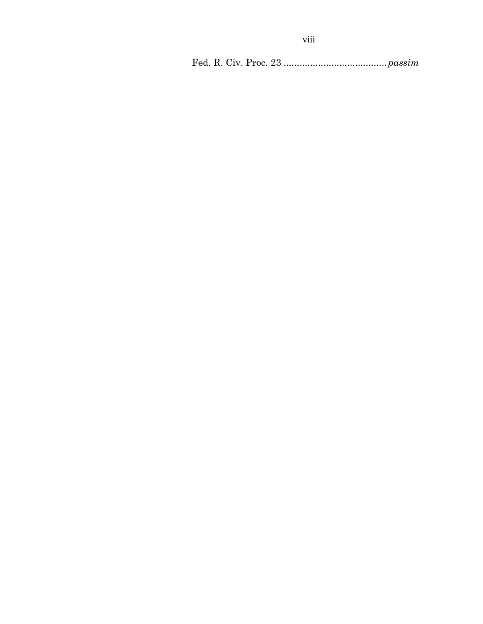Fed. R. Civ. Proc. 23 .......................................*passim*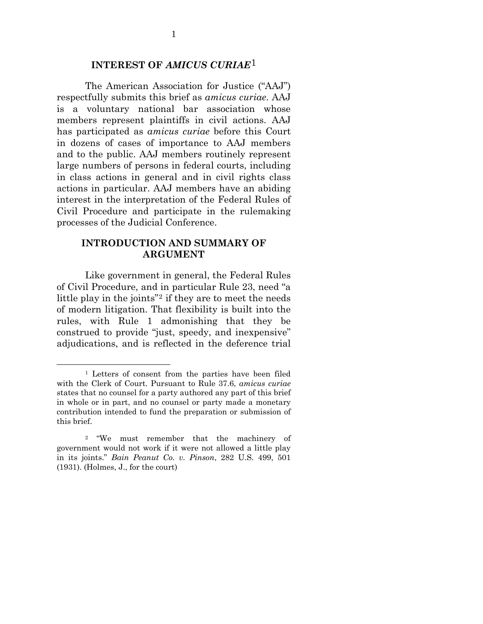### **INTEREST OF** *AMICUS CURIAE*[1](#page-10-2)

<span id="page-10-0"></span>The American Association for Justice ("AAJ") respectfully submits this brief as *amicus curiae*. AAJ is a voluntary national bar association whose members represent plaintiffs in civil actions. AAJ has participated as *amicus curiae* before this Court in dozens of cases of importance to AAJ members and to the public. AAJ members routinely represent large numbers of persons in federal courts, including in class actions in general and in civil rights class actions in particular. AAJ members have an abiding interest in the interpretation of the Federal Rules of Civil Procedure and participate in the rulemaking processes of the Judicial Conference.

### **INTRODUCTION AND SUMMARY OF ARGUMENT**

<span id="page-10-1"></span>Like government in general, the Federal Rules of Civil Procedure, and in particular Rule 23, need "a little play in the joints"<sup>[2](#page-10-3)</sup> if they are to meet the needs of modern litigation. That flexibility is built into the rules, with Rule 1 admonishing that they be construed to provide "just, speedy, and inexpensive" adjudications, and is reflected in the deference trial

<span id="page-10-2"></span> <sup>1</sup> Letters of consent from the parties have been filed with the Clerk of Court. Pursuant to Rule 37.6, *amicus curiae* states that no counsel for a party authored any part of this brief in whole or in part, and no counsel or party made a monetary contribution intended to fund the preparation or submission of this brief.

<span id="page-10-3"></span><sup>2 &</sup>quot;We must remember that the machinery of government would not work if it were not allowed a little play in its joints." *Bain Peanut Co. v. Pinson*, 282 U.S. 499, 501 (1931). (Holmes, J., for the court)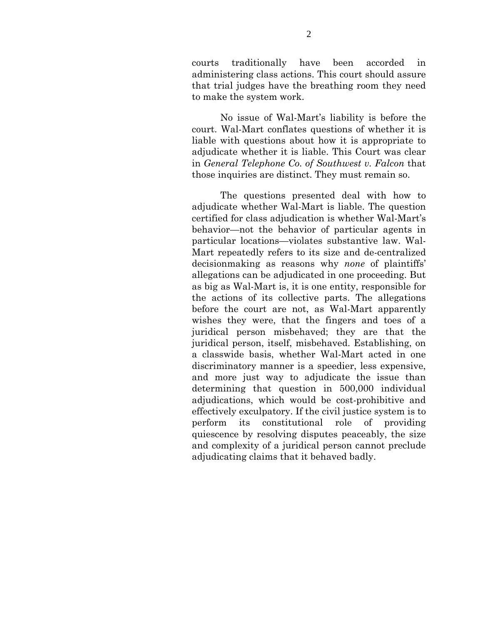courts traditionally have been accorded in administering class actions. This court should assure that trial judges have the breathing room they need to make the system work.

No issue of Wal-Mart's liability is before the court. Wal-Mart conflates questions of whether it is liable with questions about how it is appropriate to adjudicate whether it is liable. This Court was clear in *General Telephone Co. of Southwest v. Falcon* that those inquiries are distinct. They must remain so.

The questions presented deal with how to adjudicate whether Wal-Mart is liable. The question certified for class adjudication is whether Wal-Mart's behavior—not the behavior of particular agents in particular locations—violates substantive law. Wal-Mart repeatedly refers to its size and de-centralized decisionmaking as reasons why *none* of plaintiffs' allegations can be adjudicated in one proceeding. But as big as Wal-Mart is, it is one entity, responsible for the actions of its collective parts. The allegations before the court are not, as Wal-Mart apparently wishes they were, that the fingers and toes of a juridical person misbehaved; they are that the juridical person, itself, misbehaved. Establishing, on a classwide basis, whether Wal-Mart acted in one discriminatory manner is a speedier, less expensive, and more just way to adjudicate the issue than determining that question in 500,000 individual adjudications, which would be cost-prohibitive and effectively exculpatory. If the civil justice system is to perform its constitutional role of providing quiescence by resolving disputes peaceably, the size and complexity of a juridical person cannot preclude adjudicating claims that it behaved badly.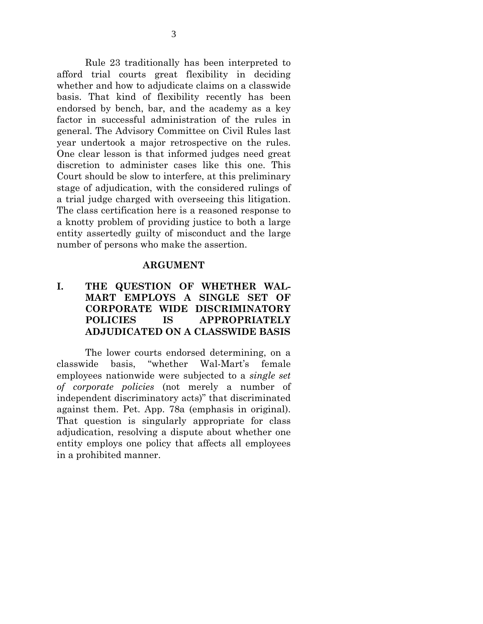Rule 23 traditionally has been interpreted to afford trial courts great flexibility in deciding whether and how to adjudicate claims on a classwide basis. That kind of flexibility recently has been endorsed by bench, bar, and the academy as a key factor in successful administration of the rules in general. The Advisory Committee on Civil Rules last year undertook a major retrospective on the rules. One clear lesson is that informed judges need great discretion to administer cases like this one. This Court should be slow to interfere, at this preliminary stage of adjudication, with the considered rulings of a trial judge charged with overseeing this litigation. The class certification here is a reasoned response to a knotty problem of providing justice to both a large entity assertedly guilty of misconduct and the large number of persons who make the assertion.

#### **ARGUMENT**

## <span id="page-12-1"></span><span id="page-12-0"></span>**I. THE QUESTION OF WHETHER WAL-MART EMPLOYS A SINGLE SET OF CORPORATE WIDE DISCRIMINATORY POLICIES IS APPROPRIATELY ADJUDICATED ON A CLASSWIDE BASIS**

The lower courts endorsed determining, on a classwide basis, "whether Wal-Mart's female employees nationwide were subjected to a *single set of corporate policies* (not merely a number of independent discriminatory acts)" that discriminated against them. Pet. App. 78a (emphasis in original). That question is singularly appropriate for class adjudication, resolving a dispute about whether one entity employs one policy that affects all employees in a prohibited manner.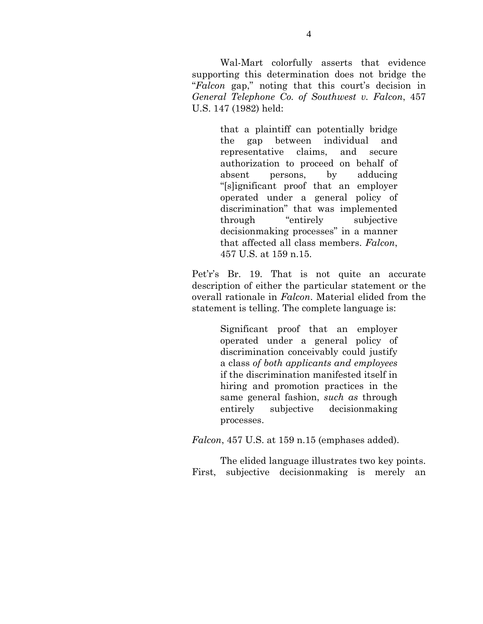Wal-Mart colorfully asserts that evidence supporting this determination does not bridge the "*Falcon* gap," noting that this court's decision in *General Telephone Co. of Southwest v. Falcon*, 457 U.S. 147 (1982) held:

> that a plaintiff can potentially bridge the gap between individual and representative claims, and secure authorization to proceed on behalf of absent persons, by adducing "[s]ignificant proof that an employer operated under a general policy of discrimination" that was implemented through "entirely subjective decisionmaking processes" in a manner that affected all class members. *Falcon*, 457 U.S. at 159 n.15.

Pet'r's Br. 19. That is not quite an accurate description of either the particular statement or the overall rationale in *Falcon*. Material elided from the statement is telling. The complete language is:

> Significant proof that an employer operated under a general policy of discrimination conceivably could justify a class *of both applicants and employees* if the discrimination manifested itself in hiring and promotion practices in the same general fashion, *such as* through entirely subjective decisionmaking processes.

*Falcon*, 457 U.S. at 159 n.15 (emphases added).

The elided language illustrates two key points. First, subjective decisionmaking is merely an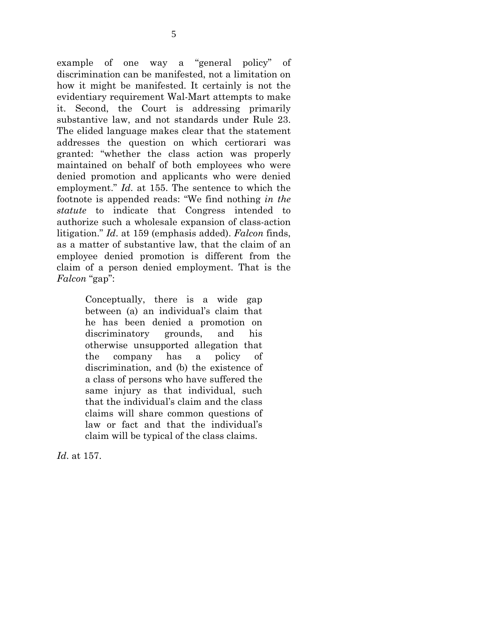example of one way a "general policy" of discrimination can be manifested, not a limitation on how it might be manifested. It certainly is not the evidentiary requirement Wal-Mart attempts to make it. Second, the Court is addressing primarily substantive law, and not standards under Rule 23. The elided language makes clear that the statement addresses the question on which certiorari was granted: "whether the class action was properly maintained on behalf of both employees who were denied promotion and applicants who were denied employment." *Id*. at 155. The sentence to which the footnote is appended reads: "We find nothing *in the statute* to indicate that Congress intended to authorize such a wholesale expansion of class-action litigation." *Id*. at 159 (emphasis added). *Falcon* finds, as a matter of substantive law, that the claim of an employee denied promotion is different from the claim of a person denied employment. That is the *Falcon* "gap":

> Conceptually, there is a wide gap between (a) an individual's claim that he has been denied a promotion on discriminatory grounds, and his otherwise unsupported allegation that the company has a policy of discrimination, and (b) the existence of a class of persons who have suffered the same injury as that individual, such that the individual's claim and the class claims will share common questions of law or fact and that the individual's claim will be typical of the class claims.

*Id*. at 157.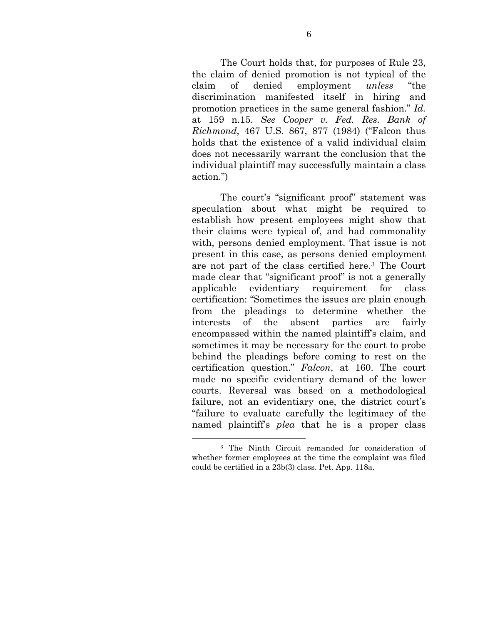The Court holds that, for purposes of Rule 23, the claim of denied promotion is not typical of the claim of denied employment *unless* "the discrimination manifested itself in hiring and promotion practices in the same general fashion." *Id.* at 159 n.15. *See Cooper v. Fed. Res. Bank of Richmond*, 467 U.S. 867, 877 (1984) ("Falcon thus holds that the existence of a valid individual claim does not necessarily warrant the conclusion that the individual plaintiff may successfully maintain a class action.")

The court's "significant proof" statement was speculation about what might be required to establish how present employees might show that their claims were typical of, and had commonality with, persons denied employment. That issue is not present in this case, as persons denied employment are not part of the class certified here.[3](#page-15-0) The Court made clear that "significant proof" is not a generally applicable evidentiary requirement for class certification: "Sometimes the issues are plain enough from the pleadings to determine whether the interests of the absent parties are fairly encompassed within the named plaintiff's claim, and sometimes it may be necessary for the court to probe behind the pleadings before coming to rest on the certification question." *Falcon*, at 160. The court made no specific evidentiary demand of the lower courts. Reversal was based on a methodological failure, not an evidentiary one, the district court's "failure to evaluate carefully the legitimacy of the named plaintiff's *plea* that he is a proper class

<span id="page-15-0"></span> <sup>3</sup> The Ninth Circuit remanded for consideration of whether former employees at the time the complaint was filed could be certified in a 23b(3) class. Pet. App. 118a.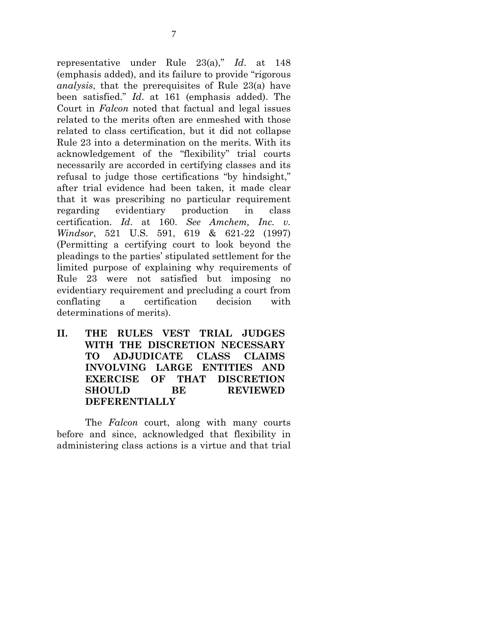representative under Rule 23(a)," *Id*. at 148 (emphasis added), and its failure to provide "rigorous *analysis*, that the prerequisites of Rule 23(a) have been satisfied." *Id*. at 161 (emphasis added). The Court in *Falcon* noted that factual and legal issues related to the merits often are enmeshed with those related to class certification, but it did not collapse Rule 23 into a determination on the merits. With its acknowledgement of the "flexibility" trial courts necessarily are accorded in certifying classes and its refusal to judge those certifications "by hindsight," after trial evidence had been taken, it made clear that it was prescribing no particular requirement regarding evidentiary production in class certification. *Id*. at 160. *See Amchem, Inc. v. Windsor*, 521 U.S. 591, 619 & 621-22 (1997) (Permitting a certifying court to look beyond the pleadings to the parties' stipulated settlement for the limited purpose of explaining why requirements of Rule 23 were not satisfied but imposing no evidentiary requirement and precluding a court from conflating a certification decision with determinations of merits).

<span id="page-16-0"></span>**II. THE RULES VEST TRIAL JUDGES WITH THE DISCRETION NECESSARY TO ADJUDICATE CLASS CLAIMS INVOLVING LARGE ENTITIES AND EXERCISE OF THAT DISCRETION SHOULD BE REVIEWED DEFERENTIALLY** 

The *Falcon* court, along with many courts before and since, acknowledged that flexibility in administering class actions is a virtue and that trial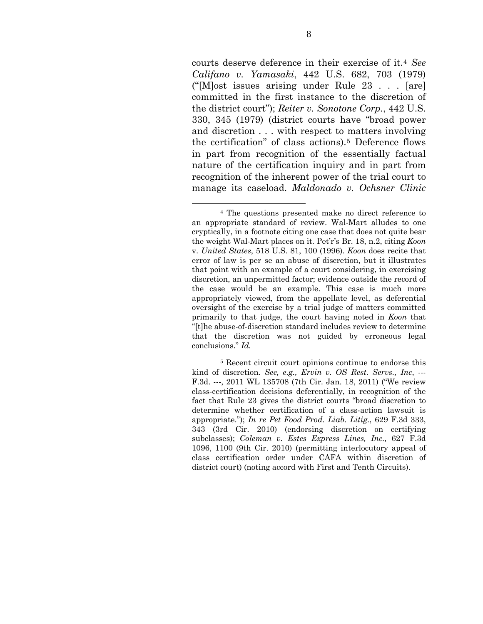courts deserve deference in their exercise of it.[4](#page-17-0) *See Califano v. Yamasaki*, 442 U.S. 682, 703 (1979) ("[M]ost issues arising under Rule 23 . . . [are] committed in the first instance to the discretion of the district court"); *Reiter v. Sonotone Corp.*, 442 U.S. 330, 345 (1979) (district courts have "broad power and discretion . . . with respect to matters involving the certification" of class actions).[5](#page-17-1) Deference flows in part from recognition of the essentially factual nature of the certification inquiry and in part from recognition of the inherent power of the trial court to manage its caseload. *Maldonado v. Ochsner Clinic* 

<span id="page-17-0"></span> <sup>4</sup> The questions presented make no direct reference to an appropriate standard of review. Wal-Mart alludes to one cryptically, in a footnote citing one case that does not quite bear the weight Wal-Mart places on it. Pet'r's Br. 18, n.2, citing *Koon*  v. *United States*, 518 U.S. 81, 100 (1996). *Koon* does recite that error of law is per se an abuse of discretion, but it illustrates that point with an example of a court considering, in exercising discretion, an unpermitted factor; evidence outside the record of the case would be an example. This case is much more appropriately viewed, from the appellate level, as deferential oversight of the exercise by a trial judge of matters committed primarily to that judge, the court having noted in *Koon* that "[t]he abuse-of-discretion standard includes review to determine that the discretion was not guided by erroneous legal conclusions." *Id.*

<span id="page-17-1"></span><sup>5</sup> Recent circuit court opinions continue to endorse this kind of discretion. *See, e.g., Ervin v. OS Rest. Servs., Inc*, --- F.3d. ---, 2011 WL 135708 (7th Cir. Jan. 18, 2011) ("We review class-certification decisions deferentially, in recognition of the fact that Rule 23 gives the district courts "broad discretion to determine whether certification of a class-action lawsuit is appropriate."); *In re Pet Food Prod. Liab. Litig.*, 629 F.3d 333, 343 (3rd Cir. 2010) (endorsing discretion on certifying subclasses); *Coleman v. Estes Express Lines, Inc.,* 627 F.3d 1096, 1100 (9th Cir. 2010) (permitting interlocutory appeal of class certification order under CAFA within discretion of district court) (noting accord with First and Tenth Circuits).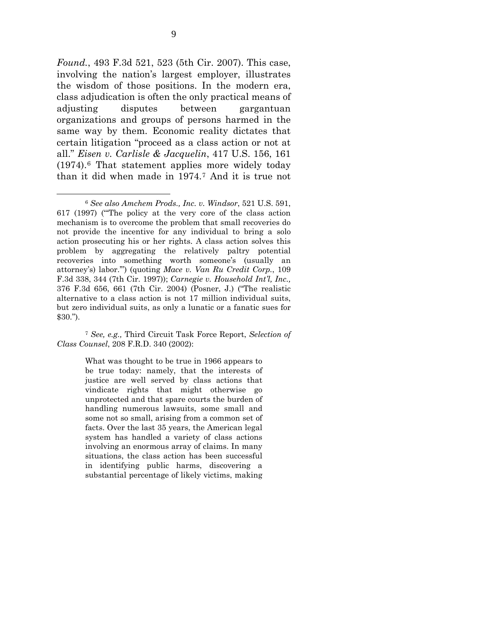*Found.*, 493 F.3d 521, 523 (5th Cir. 2007). This case, involving the nation's largest employer, illustrates the wisdom of those positions. In the modern era, class adjudication is often the only practical means of adjusting disputes between gargantuan organizations and groups of persons harmed in the same way by them. Economic reality dictates that certain litigation "proceed as a class action or not at all." *Eisen v. Carlisle & Jacquelin*, 417 U.S. 156, 161 (1974).[6](#page-18-0) That statement applies more widely today than it did when made in 1974.[7](#page-18-1) And it is true not

<span id="page-18-1"></span><sup>7</sup> *See, e.g.,* Third Circuit Task Force Report, *Selection of Class Counsel*, 208 F.R.D. 340 (2002):

> What was thought to be true in 1966 appears to be true today: namely, that the interests of justice are well served by class actions that vindicate rights that might otherwise go unprotected and that spare courts the burden of handling numerous lawsuits, some small and some not so small, arising from a common set of facts. Over the last 35 years, the American legal system has handled a variety of class actions involving an enormous array of claims. In many situations, the class action has been successful in identifying public harms, discovering a substantial percentage of likely victims, making

<span id="page-18-0"></span> <sup>6</sup> *See also Amchem Prods., Inc. v. Windsor*, 521 U.S. 591, 617 (1997) ("'The policy at the very core of the class action mechanism is to overcome the problem that small recoveries do not provide the incentive for any individual to bring a solo action prosecuting his or her rights. A class action solves this problem by aggregating the relatively paltry potential recoveries into something worth someone's (usually an attorney's) labor.'") (quoting *Mace v. Van Ru Credit Corp.*, 109 F.3d 338, 344 (7th Cir. 1997)); *Carnegie v. Household Int'l, Inc.,* 376 F.3d 656, 661 (7th Cir. 2004) (Posner, J.) ("The realistic alternative to a class action is not 17 million individual suits, but zero individual suits, as only a lunatic or a fanatic sues for \$30.").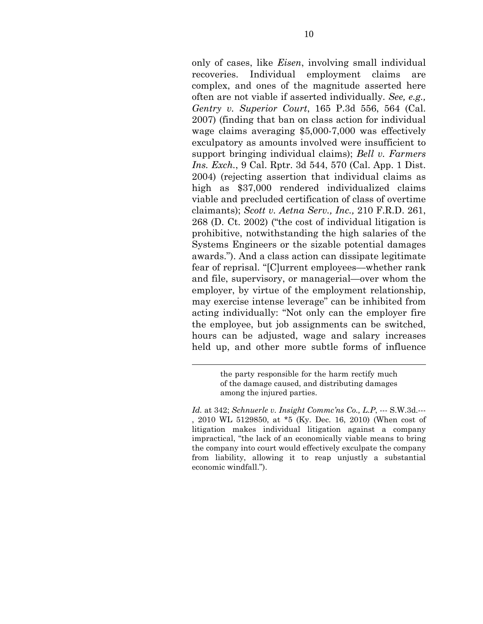only of cases, like *Eisen*, involving small individual recoveries. Individual employment claims are complex, and ones of the magnitude asserted here often are not viable if asserted individually. *See, e.g., Gentry v. Superior Court*, 165 P.3d 556, 564 (Cal. 2007) (finding that ban on class action for individual wage claims averaging \$5,000-7,000 was effectively exculpatory as amounts involved were insufficient to support bringing individual claims); *Bell v. Farmers Ins. Exch.*, 9 Cal. Rptr. 3d 544, 570 (Cal. App. 1 Dist. 2004) (rejecting assertion that individual claims as high as \$37,000 rendered individualized claims viable and precluded certification of class of overtime claimants); *Scott v. Aetna Serv., Inc.,* 210 F.R.D. 261, 268 (D. Ct. 2002) ("the cost of individual litigation is prohibitive, notwithstanding the high salaries of the Systems Engineers or the sizable potential damages awards."). And a class action can dissipate legitimate fear of reprisal. "[C]urrent employees—whether rank and file, supervisory, or managerial—over whom the employer, by virtue of the employment relationship, may exercise intense leverage" can be inhibited from acting individually: "Not only can the employer fire the employee, but job assignments can be switched, hours can be adjusted, wage and salary increases held up, and other more subtle forms of influence

l

the party responsible for the harm rectify much of the damage caused, and distributing damages among the injured parties.

*Id.* at 342; *Schnuerle v. Insight Commc'ns Co., L.P*, --- S.W.3d.--- , 2010 WL 5129850, at \*5 (Ky. Dec. 16, 2010) (When cost of litigation makes individual litigation against a company impractical, "the lack of an economically viable means to bring the company into court would effectively exculpate the company from liability, allowing it to reap unjustly a substantial economic windfall.").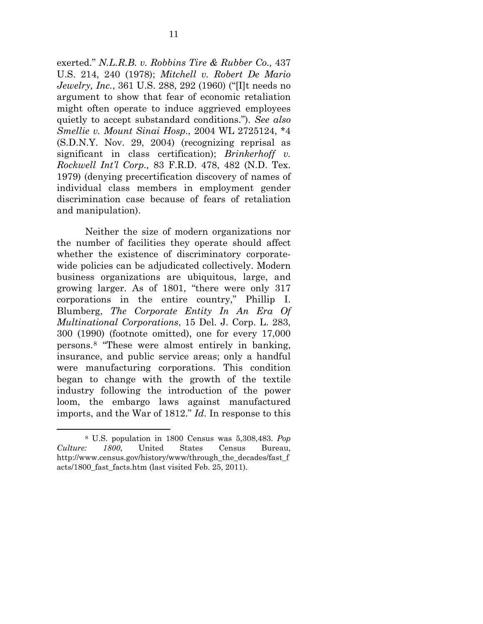exerted." *N.L.R.B. v. Robbins Tire & Rubber Co.,* 437 U.S. 214, 240 (1978); *Mitchell v. Robert De Mario Jewelry, Inc.*, 361 U.S. 288, 292 (1960) ("[I]t needs no argument to show that fear of economic retaliation might often operate to induce aggrieved employees quietly to accept substandard conditions."). *See also Smellie v. Mount Sinai Hosp.*, 2004 WL 2725124, \*4 (S.D.N.Y. Nov. 29, 2004) (recognizing reprisal as significant in class certification); *Brinkerhoff v. Rockwell Int'l Corp.,* 83 F.R.D. 478, 482 (N.D. Tex. 1979) (denying precertification discovery of names of individual class members in employment gender discrimination case because of fears of retaliation and manipulation).

Neither the size of modern organizations nor the number of facilities they operate should affect whether the existence of discriminatory corporatewide policies can be adjudicated collectively. Modern business organizations are ubiquitous, large, and growing larger. As of 1801, "there were only 317 corporations in the entire country," Phillip I. Blumberg, *The Corporate Entity In An Era Of Multinational Corporations*, 15 Del. J. Corp. L. 283, 300 (1990) (footnote omitted), one for every 17,000 persons.[8](#page-20-0) "These were almost entirely in banking, insurance, and public service areas; only a handful were manufacturing corporations. This condition began to change with the growth of the textile industry following the introduction of the power loom, the embargo laws against manufactured imports, and the War of 1812." *Id*. In response to this

<span id="page-20-0"></span> <sup>8</sup> U.S. population in 1800 Census was 5,308,483. *Pop Culture: 1800*, United States Census Bureau, http://www.census.gov/history/www/through\_the\_decades/fast\_f acts/1800\_fast\_facts.htm (last visited Feb. 25, 2011).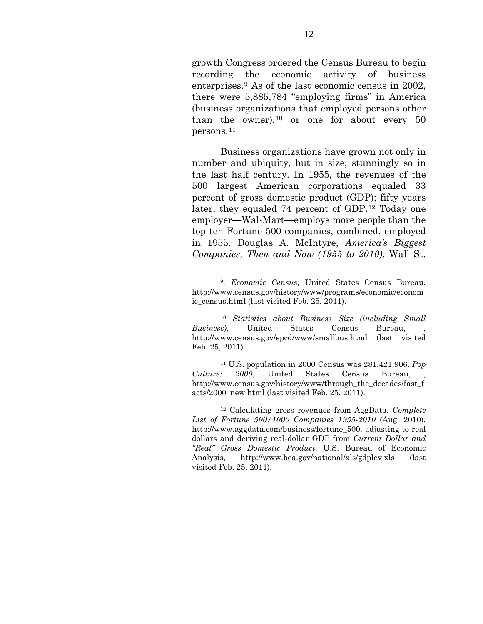growth Congress ordered the Census Bureau to begin recording the economic activity of business enterprises.[9](#page-21-0) As of the last economic census in 2002, there were 5,885,784 "employing firms" in America (business organizations that employed persons other than the owner),  $10$  or one for about every 50 persons.[11](#page-21-2)

Business organizations have grown not only in number and ubiquity, but in size, stunningly so in the last half century. In 1955, the revenues of the 500 largest American corporations equaled 33 percent of gross domestic product (GDP); fifty years later, they equaled 74 percent of GDP.[12](#page-21-3) Today one employer—Wal-Mart—employs more people than the top ten Fortune 500 companies, combined, employed in 1955. Douglas A. McIntyre, *America's Biggest Companies, Then and Now (1955 to 2010)*, Wall St.

<span id="page-21-2"></span>11 U.S. population in 2000 Census was 281,421,906. *Pop Culture: 2000*, United States Census Bureau, http://www.census.gov/history/www/through the decades/fast f acts/2000\_new.html (last visited Feb. 25, 2011).

<span id="page-21-0"></span> <sup>9,</sup> *Economic Census*, United States Census Bureau, http://www.census.gov/history/www/programs/economic/econom ic census.html (last visited Feb. 25, 2011).

<span id="page-21-1"></span><sup>10</sup> *Statistics about Business Size (including Small Business*), United States Census Bureau, http://www.census.gov/epcd/www/smallbus.html (last visited Feb. 25, 2011).

<span id="page-21-3"></span><sup>12</sup> Calculating gross revenues from AggData, *Complete List of Fortune 500/1000 Companies 1955-2010* (Aug. 2010), http://www.aggdata.com/business/fortune\_500, adjusting to real dollars and deriving real-dollar GDP from *Current Dollar and "Real" Gross Domestic Product*, U.S. Bureau of Economic Analysis, http://www.bea.gov/national/xls/gdplev.xls (last visited Feb. 25, 2011).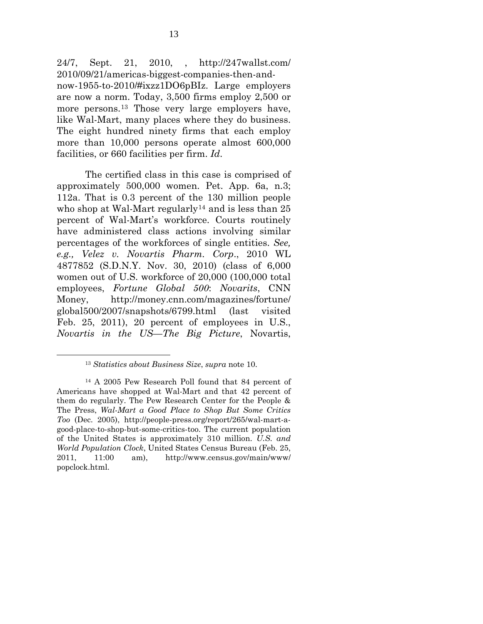24/7, Sept. 21, 2010, , http://247wallst.com/ 2010/09/21/americas-biggest-companies-then-andnow-1955-to-2010/#ixzz1DO6pBIz. Large employers are now a norm. Today, 3,500 firms employ 2,500 or more persons.[13](#page-22-0) Those very large employers have, like Wal-Mart, many places where they do business. The eight hundred ninety firms that each employ more than 10,000 persons operate almost 600,000 facilities, or 660 facilities per firm. *Id*.

The certified class in this case is comprised of approximately 500,000 women. Pet. App. 6a, n.3; 112a. That is 0.3 percent of the 130 million people who shop at Wal-Mart regularly<sup>[14](#page-22-1)</sup> and is less than  $25$ percent of Wal-Mart's workforce. Courts routinely have administered class actions involving similar percentages of the workforces of single entities. *See, e.g., Velez v. Novartis Pharm. Corp*., 2010 WL 4877852 (S.D.N.Y. Nov. 30, 2010) (class of 6,000 women out of U.S. workforce of 20,000 (100,000 total employees, *Fortune Global 500*: *Novarits*, CNN Money, http://money.cnn.com/magazines/fortune/ global500/2007/snapshots/6799.html (last visited Feb. 25, 2011), 20 percent of employees in U.S., *Novartis in the US—The Big Picture*, Novartis,

 <sup>13</sup> *Statistics about Business Size*, *supra* note 10.

<span id="page-22-1"></span><span id="page-22-0"></span><sup>14</sup> A 2005 Pew Research Poll found that 84 percent of Americans have shopped at Wal-Mart and that 42 percent of them do regularly. The Pew Research Center for the People & The Press, *Wal-Mart a Good Place to Shop But Some Critics Too* (Dec. 2005), http://people-press.org/report/265/wal-mart-agood-place-to-shop-but-some-critics-too. The current population of the United States is approximately 310 million. *U.S. and World Population Clock*, United States Census Bureau (Feb. 25, 2011, 11:00 am), http://www.census.gov/main/www/ popclock.html.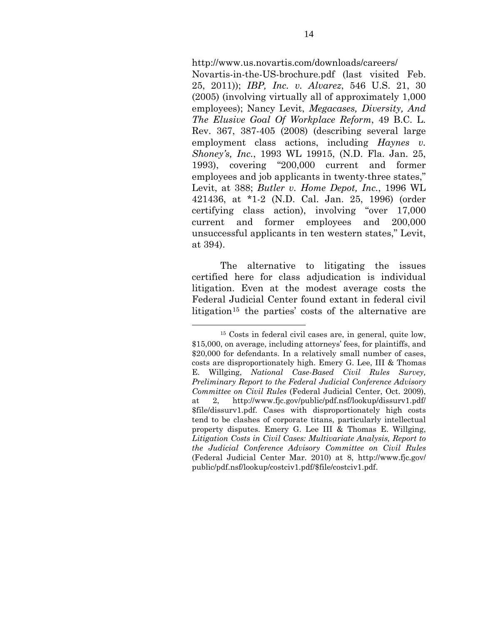http://www.us.novartis.com/downloads/careers/

Novartis-in-the-US-brochure.pdf (last visited Feb. 25, 2011)); *IBP, Inc. v. Alvarez*, 546 U.S. 21, 30 (2005) (involving virtually all of approximately 1,000 employees); Nancy Levit, *Megacases, Diversity, And The Elusive Goal Of Workplace Reform*, 49 B.C. L. Rev. 367, 387-405 (2008) (describing several large employment class actions, including *Haynes v. Shoney's, Inc.*, 1993 WL 19915, (N.D. Fla. Jan. 25, 1993), covering "200,000 current and former employees and job applicants in twenty-three states," Levit, at 388; *Butler v. Home Depot, Inc.*, 1996 WL 421436, at \*1-2 (N.D. Cal. Jan. 25, 1996) (order certifying class action), involving "over 17,000 current and former employees and 200,000 unsuccessful applicants in ten western states," Levit, at 394).

The alternative to litigating the issues certified here for class adjudication is individual litigation. Even at the modest average costs the Federal Judicial Center found extant in federal civil litigation<sup>[15](#page-23-0)</sup> the parties' costs of the alternative are

<span id="page-23-0"></span> <sup>15</sup> Costs in federal civil cases are, in general, quite low, \$15,000, on average, including attorneys' fees, for plaintiffs, and \$20,000 for defendants. In a relatively small number of cases, costs are disproportionately high. Emery G. Lee, III & Thomas E. Willging, *National Case-Based Civil Rules Survey, Preliminary Report to the Federal Judicial Conference Advisory Committee on Civil Rules* (Federal Judicial Center, Oct. 2009), at 2, http://www.fjc.gov/public/pdf.nsf/lookup/dissurv1.pdf/ \$file/dissurv1.pdf. Cases with disproportionately high costs tend to be clashes of corporate titans, particularly intellectual property disputes. Emery G. Lee III & Thomas E. Willging, *Litigation Costs in Civil Cases: Multivariate Analysis, Report to the Judicial Conference Advisory Committee on Civil Rules* (Federal Judicial Center Mar. 2010) at 8, http://www.fjc.gov/ public/pdf.nsf/lookup/costciv1.pdf/\$file/costciv1.pdf.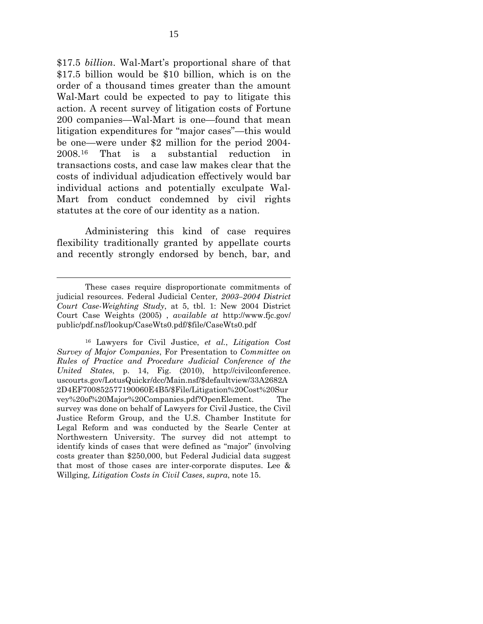\$17.5 *billion*. Wal-Mart's proportional share of that \$17.5 billion would be \$10 billion, which is on the order of a thousand times greater than the amount Wal-Mart could be expected to pay to litigate this action. A recent survey of litigation costs of Fortune 200 companies—Wal-Mart is one—found that mean litigation expenditures for "major cases"—this would be one—were under \$2 million for the period 2004- 2008.[16](#page-24-0) That is a substantial reduction in transactions costs, and case law makes clear that the costs of individual adjudication effectively would bar individual actions and potentially exculpate Wal-Mart from conduct condemned by civil rights statutes at the core of our identity as a nation.

Administering this kind of case requires flexibility traditionally granted by appellate courts and recently strongly endorsed by bench, bar, and

 $\overline{a}$ 

<span id="page-24-0"></span>16 Lawyers for Civil Justice, *et al.*, *Litigation Cost Survey of Major Companies*, For Presentation to *Committee on Rules of Practice and Procedure Judicial Conference of the United States*, p. 14, Fig. (2010), http://civilconference. uscourts.gov/LotusQuickr/dcc/Main.nsf/\$defaultview/33A2682A 2D4EF700852577190060E4B5/\$File/Litigation%20Cost%20Sur vey%20of%20Major%20Companies.pdf?OpenElement. The survey was done on behalf of Lawyers for Civil Justice, the Civil Justice Reform Group, and the U.S. Chamber Institute for Legal Reform and was conducted by the Searle Center at Northwestern University. The survey did not attempt to identify kinds of cases that were defined as "major" (involving costs greater than \$250,000, but Federal Judicial data suggest that most of those cases are inter-corporate disputes. Lee & Willging, *Litigation Costs in Civil Cases*, *supra*, note 15.

These cases require disproportionate commitments of judicial resources. Federal Judicial Center*, 2003–2004 District Court Case-Weighting Study*, at 5, tbl. 1: New 2004 District Court Case Weights (2005) , *available at* http://www.fjc.gov/ public/pdf.nsf/lookup/CaseWts0.pdf/\$file/CaseWts0.pdf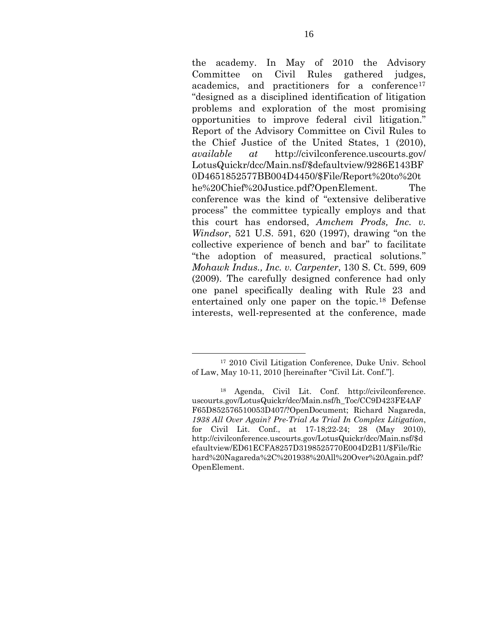the academy. In May of 2010 the Advisory Committee on Civil Rules gathered judges, academics, and practitioners for a conference<sup>[17](#page-25-0)</sup> "designed as a disciplined identification of litigation problems and exploration of the most promising opportunities to improve federal civil litigation." Report of the Advisory Committee on Civil Rules to the Chief Justice of the United States, 1 (2010), *available at* http://civilconference.uscourts.gov/ LotusQuickr/dcc/Main.nsf/\$defaultview/9286E143BF 0D4651852577BB004D4450/\$File/Report%20to%20t he%20Chief%20Justice.pdf?OpenElement. The conference was the kind of "extensive deliberative process" the committee typically employs and that this court has endorsed, *Amchem Prods, Inc. v. Windsor*, 521 U.S. 591, 620 (1997), drawing "on the collective experience of bench and bar" to facilitate "the adoption of measured, practical solutions*.*" *Mohawk Indus., Inc. v. Carpenter*, 130 S. Ct. 599, 609 (2009). The carefully designed conference had only one panel specifically dealing with Rule 23 and entertained only one paper on the topic.[18](#page-25-1) Defense interests, well-represented at the conference, made

<span id="page-25-0"></span> <sup>17 2010</sup> Civil Litigation Conference, Duke Univ. School of Law, May 10-11, 2010 [hereinafter "Civil Lit. Conf."].

<span id="page-25-1"></span><sup>18</sup> Agenda, Civil Lit. Conf. http://civilconference. uscourts.gov/LotusQuickr/dcc/Main.nsf/h\_Toc/CC9D423FE4AF F65D852576510053D407/?OpenDocument; Richard Nagareda, *1938 All Over Again? Pre-Trial As Trial In Complex Litigation*, for Civil Lit. Conf., at 17-18;22-24; 28 (May 2010), http://civilconference.uscourts.gov/LotusQuickr/dcc/Main.nsf/\$d efaultview/ED61ECFA8257D3198525770E004D2B11/\$File/Ric hard%20Nagareda%2C%201938%20All%20Over%20Again.pdf? OpenElement.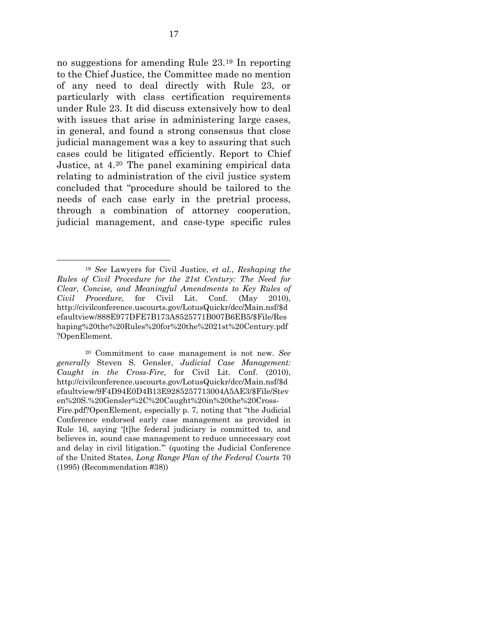no suggestions for amending Rule 23.[19](#page-26-0) In reporting to the Chief Justice, the Committee made no mention of any need to deal directly with Rule 23, or particularly with class certification requirements under Rule 23. It did discuss extensively how to deal with issues that arise in administering large cases, in general, and found a strong consensus that close judicial management was a key to assuring that such cases could be litigated efficiently. Report to Chief Justice, at 4.[20](#page-26-1) The panel examining empirical data relating to administration of the civil justice system concluded that "procedure should be tailored to the needs of each case early in the pretrial process, through a combination of attorney cooperation, judicial management, and case-type specific rules

<span id="page-26-0"></span> <sup>19</sup> *See* Lawyers for Civil Justice, *et al.*, *Reshaping the Rules of Civil Procedure for the 21st Century: The Need for Clear, Concise, and Meaningful Amendments to Key Rules of Civil Procedure*, for Civil Lit. Conf. (May 2010), http://civilconference.uscourts.gov/LotusQuickr/dcc/Main.nsf/\$d efaultview/888E977DFE7B173A8525771B007B6EB5/\$File/Res haping%20the%20Rules%20for%20the%2021st%20Century.pdf ?OpenElement.

<span id="page-26-1"></span><sup>20</sup> Commitment to case management is not new. *See generally* Steven S. Gensler, *Judicial Case Management: Caught in the Cross-Fire*, for Civil Lit. Conf. (2010), http://civilconference.uscourts.gov/LotusQuickr/dcc/Main.nsf/\$d efaultview/9F4D94E0D4B13E9285257713004A5AE3/\$File/Stev en%20S.%20Gensler%2C%20Caught%20in%20the%20Cross-Fire.pdf?OpenElement, especially p. 7, noting that "the Judicial Conference endorsed early case management as provided in

Rule 16, saying '[t]he federal judiciary is committed to, and believes in, sound case management to reduce unnecessary cost and delay in civil litigation.'" (quoting the Judicial Conference of the United States, *Long Range Plan of the Federal Courts* 70 (1995) (Recommendation #38))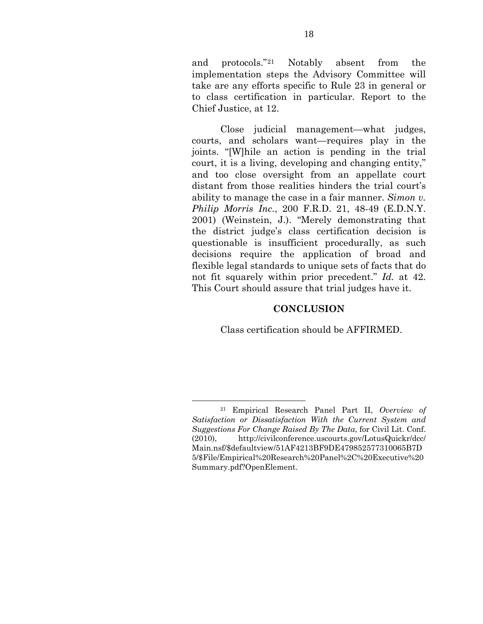and protocols."[21](#page-27-1) Notably absent from the implementation steps the Advisory Committee will take are any efforts specific to Rule 23 in general or to class certification in particular. Report to the Chief Justice, at 12.

Close judicial management—what judges, courts, and scholars want—requires play in the joints. "[W]hile an action is pending in the trial court, it is a living, developing and changing entity," and too close oversight from an appellate court distant from those realities hinders the trial court's ability to manage the case in a fair manner. *Simon v. Philip Morris Inc.*, 200 F.R.D. 21, 48-49 (E.D.N.Y. 2001) (Weinstein, J.). "Merely demonstrating that the district judge's class certification decision is questionable is insufficient procedurally, as such decisions require the application of broad and flexible legal standards to unique sets of facts that do not fit squarely within prior precedent." *Id.* at 42. This Court should assure that trial judges have it.

#### **CONCLUSION**

Class certification should be AFFIRMED.

<span id="page-27-1"></span><span id="page-27-0"></span> <sup>21</sup> Empirical Research Panel Part II, *Overview of Satisfaction or Dissatisfaction With the Current System and Suggestions For Change Raised By The Data*, for Civil Lit. Conf. (2010), http://civilconference.uscourts.gov/LotusQuickr/dcc/ Main.nsf/\$defaultview/51AF4213BF9DE479852577310065B7D 5/\$File/Empirical%20Research%20Panel%2C%20Executive%20 Summary.pdf?OpenElement.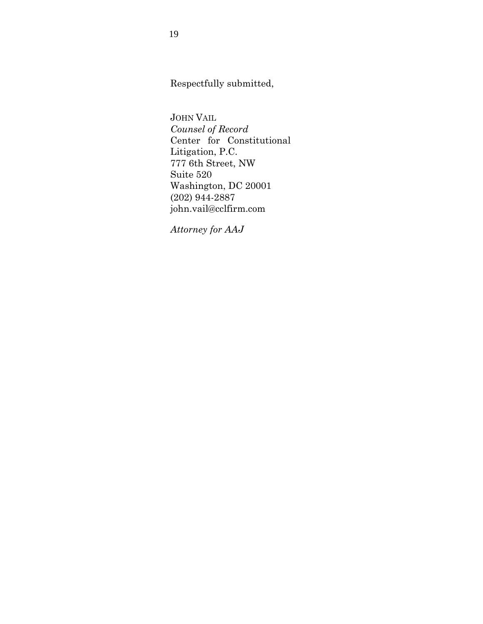Respectfully submitted,

JOHN VAIL *Counsel of Record* Center for Constitutional Litigation, P.C. 777 6th Street, NW Suite 520 Washington, DC 20001 (202) 944-2887 john.vail@cclfirm.com

*Attorney for AAJ*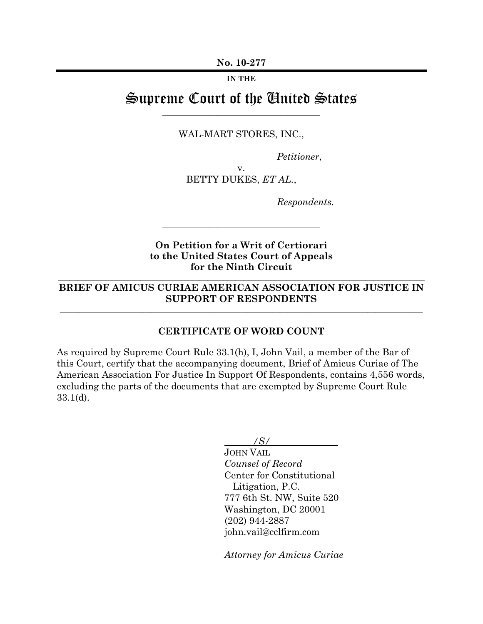**IN THE**

# Supreme Court of the United States \_\_\_\_\_\_\_\_\_\_\_\_\_\_\_\_\_\_\_\_\_\_\_\_\_\_\_\_\_\_\_\_\_\_\_\_\_\_\_\_

WAL-MART STORES, INC.,

*Petitioner*,

v. BETTY DUKES, *ET AL.*,

*Respondents.* 

### **On Petition for a Writ of Certiorari to the United States Court of Appeals for the Ninth Circuit**

\_\_\_\_\_\_\_\_\_\_\_\_\_\_\_\_\_\_\_\_\_\_\_\_\_\_\_\_\_\_\_\_\_\_\_\_\_\_\_\_

## **BRIEF OF AMICUS CURIAE AMERICAN ASSOCIATION FOR JUSTICE IN SUPPORT OF RESPONDENTS**

\_\_\_\_\_\_\_\_\_\_\_\_\_\_\_\_\_\_\_\_\_\_\_\_\_\_\_\_\_\_\_\_\_\_\_\_\_\_\_\_\_\_\_\_\_\_\_\_\_\_\_\_\_\_\_\_\_\_\_\_\_\_\_\_\_\_\_\_\_\_\_\_\_\_\_\_\_\_\_\_\_\_\_\_\_\_\_\_\_\_\_\_

\_\_\_\_\_\_\_\_\_\_\_\_\_\_\_\_\_\_\_\_\_\_\_\_\_\_\_\_\_\_\_\_\_\_\_\_\_\_\_\_\_\_\_\_\_\_\_\_\_\_\_\_\_\_\_\_\_\_\_\_\_\_\_\_\_\_\_\_\_\_\_\_\_\_\_\_\_\_\_\_\_\_\_\_\_\_\_\_\_\_\_\_\_

#### **CERTIFICATE OF WORD COUNT**

As required by Supreme Court Rule 33.1(h), I, John Vail, a member of the Bar of this Court, certify that the accompanying document, Brief of Amicus Curiae of The American Association For Justice In Support Of Respondents, contains 4,556 words, excluding the parts of the documents that are exempted by Supreme Court Rule 33.1(d).

*/S/*

JOHN VAIL *Counsel of Record*  Center for Constitutional Litigation, P.C. 777 6th St. NW, Suite 520 Washington, DC 20001 (202) 944-2887 john.vail@cclfirm.com

*Attorney for Amicus Curiae*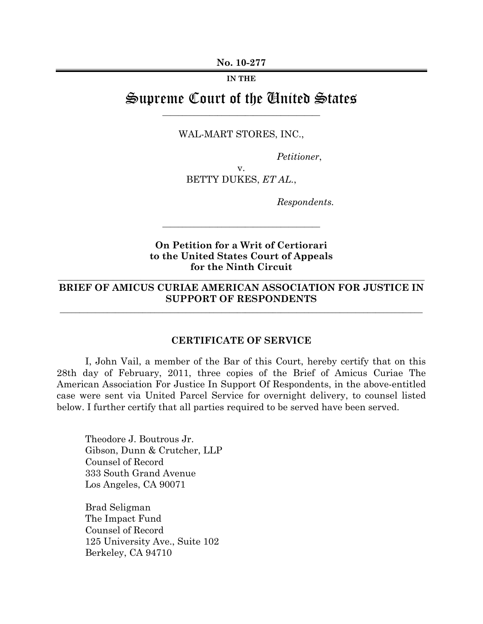**IN THE**

# Supreme Court of the United States \_\_\_\_\_\_\_\_\_\_\_\_\_\_\_\_\_\_\_\_\_\_\_\_\_\_\_\_\_\_\_\_\_\_\_\_\_\_\_\_

WAL-MART STORES, INC.,

*Petitioner*,

v. BETTY DUKES, *ET AL.*,

*Respondents.* 

### **On Petition for a Writ of Certiorari to the United States Court of Appeals for the Ninth Circuit**

\_\_\_\_\_\_\_\_\_\_\_\_\_\_\_\_\_\_\_\_\_\_\_\_\_\_\_\_\_\_\_\_\_\_\_\_\_\_\_\_

## **BRIEF OF AMICUS CURIAE AMERICAN ASSOCIATION FOR JUSTICE IN SUPPORT OF RESPONDENTS**

\_\_\_\_\_\_\_\_\_\_\_\_\_\_\_\_\_\_\_\_\_\_\_\_\_\_\_\_\_\_\_\_\_\_\_\_\_\_\_\_\_\_\_\_\_\_\_\_\_\_\_\_\_\_\_\_\_\_\_\_\_\_\_\_\_\_\_\_\_\_\_\_\_\_\_\_\_\_\_\_\_\_\_\_\_\_\_\_\_\_\_\_

\_\_\_\_\_\_\_\_\_\_\_\_\_\_\_\_\_\_\_\_\_\_\_\_\_\_\_\_\_\_\_\_\_\_\_\_\_\_\_\_\_\_\_\_\_\_\_\_\_\_\_\_\_\_\_\_\_\_\_\_\_\_\_\_\_\_\_\_\_\_\_\_\_\_\_\_\_\_\_\_\_\_\_\_\_\_\_\_\_\_\_\_\_

#### **CERTIFICATE OF SERVICE**

I, John Vail, a member of the Bar of this Court, hereby certify that on this 28th day of February, 2011, three copies of the Brief of Amicus Curiae The American Association For Justice In Support Of Respondents, in the above-entitled case were sent via United Parcel Service for overnight delivery, to counsel listed below. I further certify that all parties required to be served have been served.

Theodore J. Boutrous Jr. Gibson, Dunn & Crutcher, LLP Counsel of Record 333 South Grand Avenue Los Angeles, CA 90071

Brad Seligman The Impact Fund Counsel of Record 125 University Ave., Suite 102 Berkeley, CA 94710